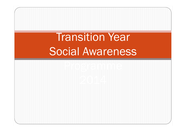# **Transition Year** Social Awareness

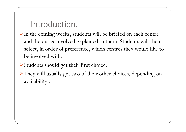### Introduction.

- In the coming weeks, students will be briefed on each centre and the duties involved explained to them. Students will then select, in order of preference, which centres they would like to be involved with.
- Students should get their first choice.
- They will usually get two of their other choices, depending on availability .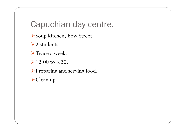## Capuchian day centre.

- Soup kitchen, Bow Street.
- $\geq 2$  students.
- Twice a week.
- $\geq 12.00$  to 3.30.
- Preparing and serving food.
- Clean up.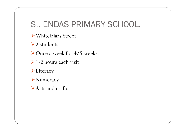## St. ENDAS PRIMARY SCHOOL.

- Whitefriars Street.
- $\geq 2$  students.
- ▶ Once a week for 4/5 weeks.
- ▶ 1-2 hours each visit.
- Literacy.
- Numeracy
- Arts and crafts.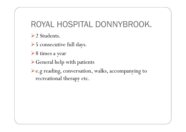## ROYAL HOSPITAL DONNYBROOK.

 $\geq 2$  Students.

▶ 5 consecutive full days.

**► 8 times a year** 

General help with patients

e.g reading, conversation, walks, accompanying to recreational therapy etc.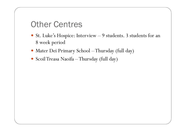### Other Centres

- St. Luke's Hospice: Interview  $-9$  students. 3 students for an  $\frac{8 \text{ wool}}{2}$  period 8 week period
- Mater Dei Primary School –Thursday (full day)
- Scoil Treasa Naoifa –Thursday (full day)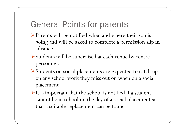## General Points for parents

- Parents will be notified when and where their son is going and will be asked to complete a permission slip in advance.
- Students will be supervised at each venue by centrepersonnel.
- Students on social placements are expected to catch up on any school work they miss out on when on a social placement
- $\triangleright$  It is important that the school is notified if a student cannot be in school on the day of a social placement so that a suitable replacement can be found